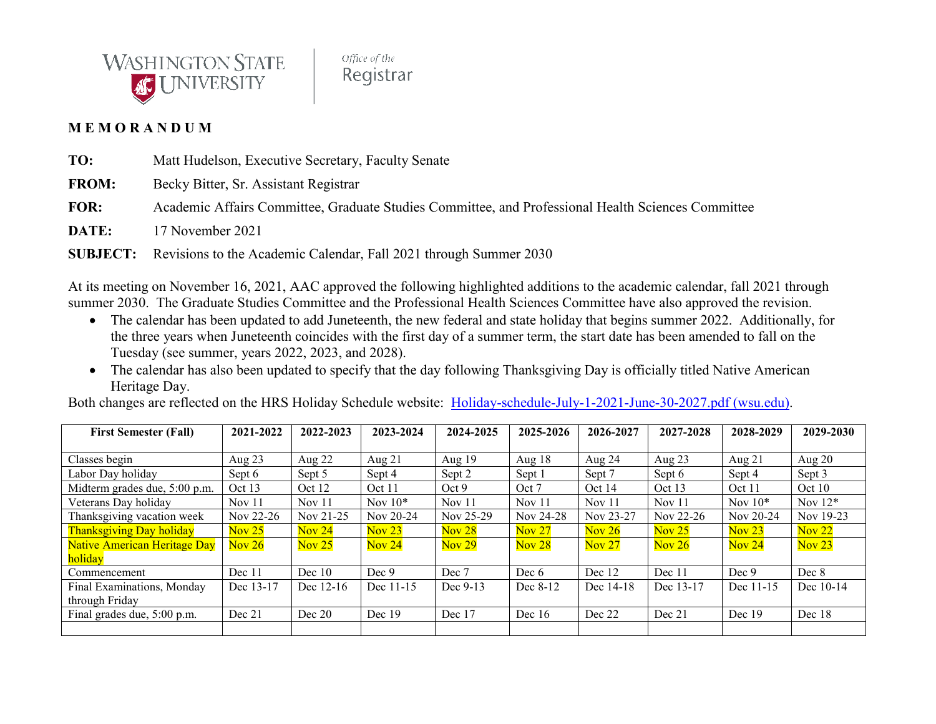

Office of the Registrar

## **M E M O R A N D U M**

**TO:** Matt Hudelson, Executive Secretary, Faculty Senate

**FROM:** Becky Bitter, Sr. Assistant Registrar

**FOR:** Academic Affairs Committee, Graduate Studies Committee, and Professional Health Sciences Committee

**DATE:** 17 November 2021

**SUBJECT:** Revisions to the Academic Calendar, Fall 2021 through Summer 2030

At its meeting on November 16, 2021, AAC approved the following highlighted additions to the academic calendar, fall 2021 through summer 2030. The Graduate Studies Committee and the Professional Health Sciences Committee have also approved the revision.

- The calendar has been updated to add Juneteenth, the new federal and state holiday that begins summer 2022. Additionally, for the three years when Juneteenth coincides with the first day of a summer term, the start date has been amended to fall on the Tuesday (see summer, years 2022, 2023, and 2028).
- The calendar has also been updated to specify that the day following Thanksgiving Day is officially titled Native American Heritage Day.

Both changes are reflected on the HRS Holiday Schedule website: [Holiday-schedule-July-1-2021-June-30-2027.pdf \(wsu.edu\).](https://hrs.wsu.edu/wp-content/uploads/2021/09/Holiday-schedule-July-1-2021-June-30-2027.pdf)

| <b>First Semester (Fall)</b>        | 2021-2022         | 2022-2023         | 2023-2024                  | 2024-2025         | 2025-2026                  | 2026-2027         | 2027-2028                  | 2028-2029 | 2029-2030                  |
|-------------------------------------|-------------------|-------------------|----------------------------|-------------------|----------------------------|-------------------|----------------------------|-----------|----------------------------|
|                                     |                   |                   |                            |                   |                            |                   |                            |           |                            |
| Classes begin                       | Aug 23            | Aug $22$          | Aug $21$                   | Aug 19            | Aug $18$                   | Aug 24            | Aug $23$                   | Aug $21$  | Aug $20$                   |
| Labor Day holiday                   | Sept 6            | Sept 5            | Sept 4                     | Sept 2            | Sept 1                     | Sept 7            | Sept 6                     | Sept 4    | Sept 3                     |
| Midterm grades due, 5:00 p.m.       | Oct 13            | Oct 12            | Oct 11                     | Oct 9             | Oct 7                      | Oct $14$          | Oct 13                     | Oct 11    | Oct 10                     |
| Veterans Day holiday                | Nov <sub>11</sub> | Nov $11$          | Nov $10^*$                 | Nov 11            | Nov $11$                   | Nov $11$          | Nov $11$                   | Nov $10*$ | Nov $12*$                  |
| Thanksgiving vacation week          | Nov 22-26         | Nov 21-25         | Nov 20-24                  | Nov 25-29         | Nov 24-28                  | Nov 23-27         | Nov 22-26                  | Nov 20-24 | Nov 19-23                  |
| <b>Thanksgiving Day holiday</b>     | Nov $25$          | Nov <sub>24</sub> | $\overline{\text{Nov }23}$ | Nov <sub>28</sub> | Nov <sub>27</sub>          | Nov $26$          | $\overline{\text{Nov }25}$ | Nov $23$  | $\overline{\text{Nov }22}$ |
| <b>Native American Heritage Day</b> | Nov 26            | Nov $25$          | Nov <sub>24</sub>          | Nov <sub>29</sub> | $\overline{\text{Nov }28}$ | Nov <sub>27</sub> | Nov 26                     | Nov $24$  | Nov $23$                   |
| holiday                             |                   |                   |                            |                   |                            |                   |                            |           |                            |
| Commencement                        | Dec 11            | Dec 10            | Dec 9                      | Dec 7             | Dec 6                      | Dec 12            | Dec 11                     | Dec 9     | Dec 8                      |
| Final Examinations, Monday          | Dec 13-17         | Dec 12-16         | Dec 11-15                  | Dec 9-13          | Dec 8-12                   | Dec 14-18         | Dec 13-17                  | Dec 11-15 | Dec 10-14                  |
| through Friday                      |                   |                   |                            |                   |                            |                   |                            |           |                            |
| Final grades due, 5:00 p.m.         | Dec 21            | Dec 20            | Dec $19$                   | Dec 17            | Dec $16$                   | Dec 22            | Dec 21                     | Dec $19$  | Dec 18                     |
|                                     |                   |                   |                            |                   |                            |                   |                            |           |                            |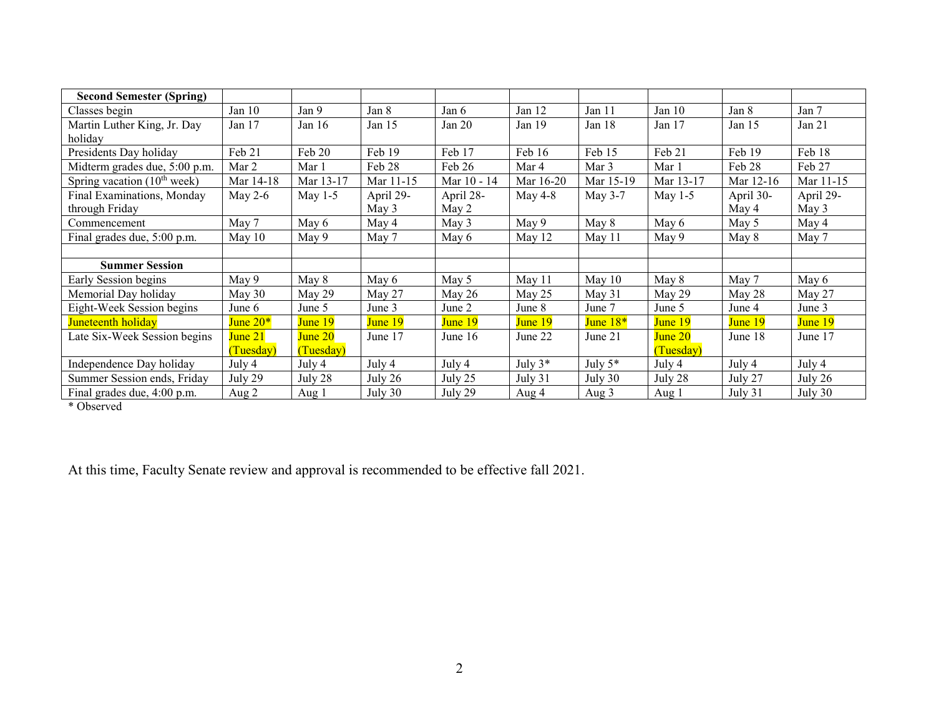| <b>Second Semester (Spring)</b> |            |           |           |             |            |            |           |           |           |
|---------------------------------|------------|-----------|-----------|-------------|------------|------------|-----------|-----------|-----------|
| Classes begin                   | Jan $10$   | Jan 9     | Jan 8     | Jan 6       | Jan $12$   | Jan 11     | Jan $10$  | Jan 8     | Jan 7     |
| Martin Luther King, Jr. Day     | Jan 17     | Jan $16$  | Jan 15    | Jan 20      | Jan $19$   | Jan 18     | Jan $17$  | Jan $15$  | Jan 21    |
| holiday                         |            |           |           |             |            |            |           |           |           |
| Presidents Day holiday          | Feb 21     | Feb 20    | Feb 19    | Feb 17      | Feb 16     | Feb 15     | Feb 21    | Feb 19    | Feb 18    |
| Midterm grades due, 5:00 p.m.   | Mar 2      | Mar 1     | Feb 28    | Feb 26      | Mar 4      | Mar 3      | Mar 1     | Feb 28    | Feb 27    |
| Spring vacation $(10th week)$   | Mar 14-18  | Mar 13-17 | Mar 11-15 | Mar 10 - 14 | Mar 16-20  | Mar 15-19  | Mar 13-17 | Mar 12-16 | Mar 11-15 |
| Final Examinations, Monday      | May $2-6$  | May $1-5$ | April 29- | April 28-   | May $4-8$  | May 3-7    | May $1-5$ | April 30- | April 29- |
| through Friday                  |            |           | May 3     | May 2       |            |            |           | May 4     | May 3     |
| Commencement                    | May 7      | May 6     | May 4     | May 3       | May 9      | May 8      | May 6     | May 5     | May 4     |
| Final grades due, 5:00 p.m.     | May $10$   | May 9     | May 7     | May 6       | May 12     | May 11     | May 9     | May 8     | May 7     |
|                                 |            |           |           |             |            |            |           |           |           |
| <b>Summer Session</b>           |            |           |           |             |            |            |           |           |           |
| Early Session begins            | May 9      | May 8     | May 6     | May 5       | May 11     | May 10     | May 8     | May 7     | May 6     |
| Memorial Day holiday            | May 30     | May 29    | May 27    | May $26$    | May 25     | May 31     | May 29    | May 28    | May 27    |
| Eight-Week Session begins       | June 6     | June 5    | June 3    | June 2      | June 8     | June 7     | June 5    | June 4    | June 3    |
| Juneteenth holiday              | June $20*$ | June 19   | June 19   | June 19     | June 19    | June $18*$ | June 19   | June 19   | June 19   |
| Late Six-Week Session begins    | June 21    | June 20   | June 17   | June $16$   | June 22    | June 21    | June 20   | June 18   | June 17   |
|                                 | (Tuesday)  | (Tuesday) |           |             |            |            | (Tuesday) |           |           |
| Independence Day holiday        | July 4     | July 4    | July 4    | July 4      | July $3^*$ | July $5*$  | July 4    | July 4    | July 4    |
| Summer Session ends, Friday     | July 29    | July 28   | July 26   | July 25     | July 31    | July 30    | July 28   | July 27   | July 26   |
| Final grades due, 4:00 p.m.     | Aug 2      | Aug 1     | July 30   | July 29     | Aug 4      | Aug 3      | Aug 1     | July 31   | July 30   |

\* Observed

At this time, Faculty Senate review and approval is recommended to be effective fall 2021.